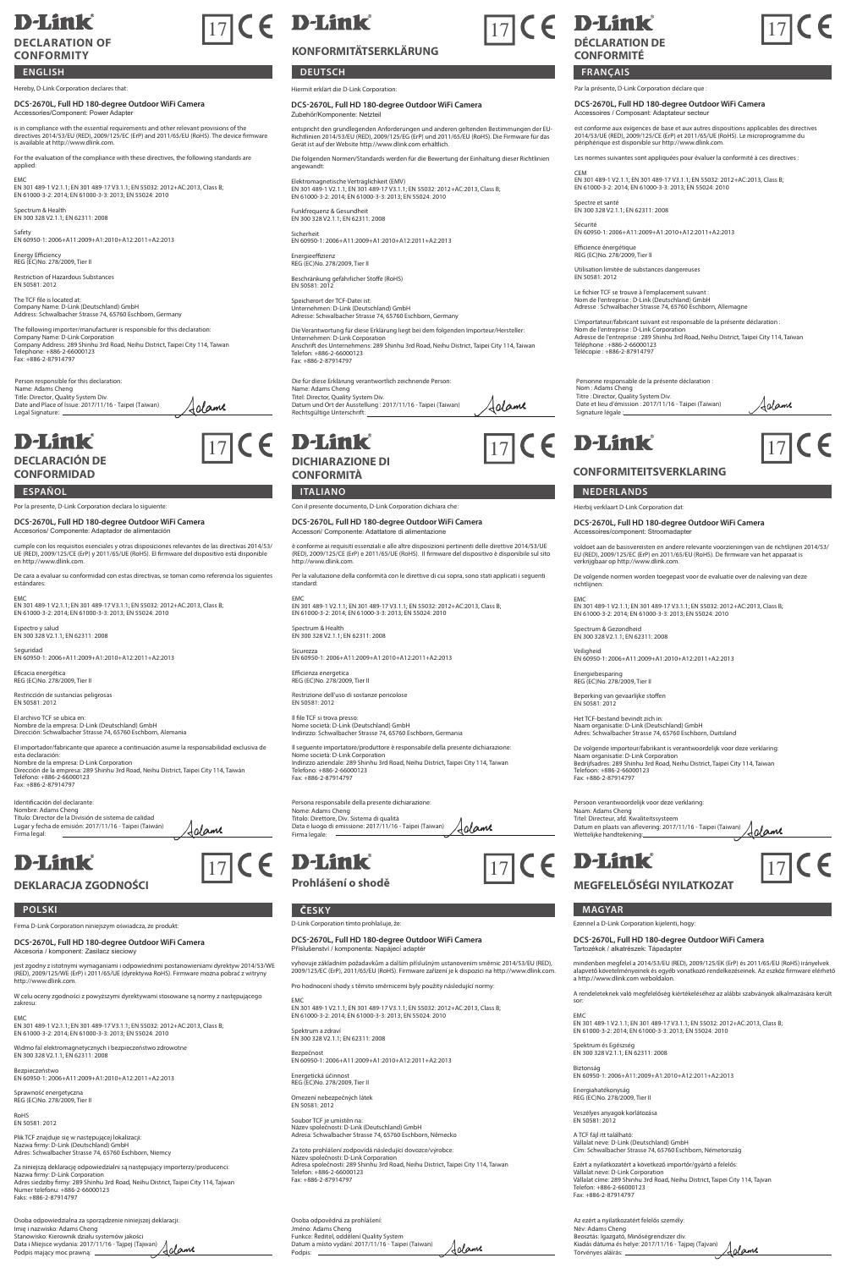### **D-Link DECLARATION OF**

## **CONFORMITY**

**ENGLISH**

reby, D-Link Corporation declares that

**DCS-2670L, Full HD 180‐degree Outdoor WiFi Camera** Accessories/Component: Power Adapter

is in compliance with the essential requirements and other relevant provisions of the<br>directives 2014/53/EU (RED), 2009/125/EC (ErP) and 2011/65/EU (RoHS). The device firmware<br>is available at http://www.dlink.com.

For the evaluation of the compliance with these directives, the following standards are applied:

EMC EN 301 489-1 V2.1.1; EN 301 489-17 V3.1.1; EN 55032: 2012+AC:2013, Class B; EN 61000-3-2: 2014; EN 61000-3-3: 2013; EN 55024: 2010

Spectrum & Health EN 300 328 V2.1.1; EN 62311: 2008

Safety EN 60950-1: 2006+A11:2009+A1:2010+A12:2011+A2:2013

Energy Efficiency REG (EC)No. 278/2009, Tier II Restriction of Hazardous Substances EN 50581: 2012

The TCF file is located at: Company Name: D-Link (Deutschland) GmbH Address: Schwalbacher Strasse 74, 65760 Eschborn, Germany

The following importer/manufacturer is responsible for this declaration:<br>Company Name: D-Link Corporation<br>Company Address: 289 Shinhu 3rd Road, Neihu District, Taipei City 114, Taiwan<br>Tele: 4886-2-87914797<br>Fax: 4886-2-8791

Jolane

Person responsible for this declaration: Name: Adams Cheng Title: Director, Quality System Div. Date and Place of Issue: 2017/11/16 - Taipei (Taiwan) Legal Signature:

# **D-Link**

**DECLARACIÓN DE CONFORMIDAD**

#### **ESPAÑOL ITALIANO NEDERLANDS** Por la presente, D-Link Corporation declara lo siguie

**DCS-2670L, Full HD 180‐degree Outdoor WiFi Camera**

Accesorios/ Componente: Adaptador de alimentación

cumple con los requisitos esenciales y otras disposiciones relevantes de las directivas 2014/53/ UE (RED), 2009/125/CE (ErP) y 2011/65/UE (RoHS). El firmware del dispositivo está disponible en http://www.dlink.com. De cara a evaluar su conformidad con estas directivas, se toman como referencia los sig

estándares: EMC EN 301 489-1 V2.1.1; EN 301 489-17 V3.1.1; EN 55032: 2012+AC:2013, Class B; EN 61000-3-2: 2014; EN 61000-3-3: 2013; EN 55024: 2010

Espectro y salud EN 300 328 V2.1.1; EN 62311: 2008

Seguridad EN 60950-1: 2006+A11:2009+A1:2010+A12:2011+A2:2013

Eficacia energética REG (EC)No. 278/2009, Tier II

Restricción de sustancias peligrosas EN 50581: 2012

El archivo TCF se ubica en: Nombre de la empresa: D-Link (Deutschland) GmbH Dirección: Schwalbacher Strasse 74, 65760 Eschborn, Alemania El importador/fabricante que aparece a continuación asume la responsabilidad exclusiva de

esta declaración:<br>Nombre de la empresa: D-Link Corporation<br>Dirección de la empresa: 289 Shinhu 3rd Road, Neihu District, Taipei City 114, Taiwán<br>Teléfono: +886-2-67914797<br>Fax: +886-2-87914797

Identificación del declarante: Nombre: Adams Cheng Título: Director de la División de sistema de calidad Lugar y fecha de emisión: 2017/11/16 - Taipei (Taiwán) Firma legal: Aclame

# **D-Link**

**DEKLARACJA ZGODNOŚCI**

Firma D-Link Corporation niniejszym oświadcza, że produkt:

**DCS-2670L, Full HD 180‐degree Outdoor WiFi Camera** Akcesoria / komponent: Zasilacz sieciowy

jest zgodny z istotnymi wymaganiami i odpowiednimi postanowieniami dyrektyw 2014/53/WE (RED), 2009/125/WE (ErP) i 2011/65/UE (dyrektywa RoHS). Firmware można pobrać z witryny http://www.dlink.com.

W celu oceny zgodności z powyższymi dyrektywami stosowane są normy z następującego zakresu: EMC EN 301 489-1 V2.1.1; EN 301 489-17 V3.1.1; EN 55032: 2012+AC:2013, Class B; EN 61000-3-2: 2014; EN 61000-3-3: 2013; EN 55024: 2010

Widmo fal elektromagnetycznych i bezpieczeństwo zdrowotne EN 300 328 V2.1.1; EN 62311: 2008

Bezpieczeństwo EN 60950-1: 2006+A11:2009+A1:2010+A12:2011+A2:2013

Sprawność energetyczna REG (EC)No. 278/2009, Tier II

RoHS EN 50581: 2012

Plik TCF znajduje się w następującej lokalizacji: Nazwa firmy: D-Link (Deutschland) GmbH Adres: Schwalbacher Strasse 74, 65760 Eschborn, Niemcy

Za niniejszą deklarację odpowiedzialni są następujący importerzy/producenci:<br>Nazwa firmy: D-Link Corporation<br>Adres siedziby firmy: 289 Shinhu 3rd Road, Neihu District, Taipei City 114, Tajwan<br>Numer telefonu: +886-2-6600012

Osoba odpowiedzialna za sporządzenie niniejszej deklaracji: Imię i nazwisko: Adams Cheng Stanowisko: Kierownik działu systemów jakości Data i Miejsce wydania: 2017/11/16 - Tajpej (Tajwan) Podpis mający moc prawną:

**KONFORMITÄTSERKLÄRUNG**

**DEUTSCH FRANÇAIS** Hiermit erklärt die D-Link Corporation:

Zubehör/Komponente: Netzteil

**DCS-2670L, Full HD 180‐degree Outdoor WiFi Camera**

entspricht den grundlegenden Anforderungen und anderen geltenden Bestimmungen der EU-<br>Richtlinien 2014/53/EU (RED), 2009/125/EG (ErP) und 2011/65/EU (RoHS). Die Firmware für das<br>Gerät ist auf der Website http://www.dlink.c

Die folgenden Normen/Standards werden für die Bewertung der Einhaltung dieser Richtlinien angewandt:

Elektromagnetische Verträglichkeit (EMV)<br>EN 301 489-1 V2.1.1; EN 301 489-17 V3.1.1; EN 55032: 2012+AC:2013, Class B;<br>EN 61000-3-2: 2014; EN 61000-3-3: 2013; EN 55024: 2010

Funkfrequenz & Gesundheit EN 300 328 V2.1.1; EN 62311: 2008

Sicherheit EN 60950-1: 2006+A11:2009+A1:2010+A12:2011+A2:2013

Energieeffizienz REG (EC)No. 278/2009, Tier II

Beschränkung gefährlicher Stoffe (RoHS) EN 50581: 2012

Speicherort der TCF-Datei ist: Unternehmen: D-Link (Deutschland) GmbH Adresse: Schwalbacher Strasse 74, 65760 Eschborn, Germany

Die Verantwortung für diese Erklärung liegt bei dem folgenden Importeur/Hersteller:<br>Unternehmen: D-Link Corporation<br>Anschrift des Unternehmens: 289 Shinhu 3rd Road, Neihu District, Taipei City 114, Taiwar<br>Telefon: +886-2-8

Die für diese Erklärung verantwortlich zeichnende Person:<br>Name: Adams Cheng<br>Titel: Director, Quality System Div.<br>Datum und Ort der Ausstellung : 2017/11/16 - Taipei (Taiwan)<br>Rechtsgültige Unterschrift: Jalame



**DICHIARAZIONE DI CONFORMITÀ**

Con il presente documento, D-Link Corporation dichiara che

**DCS-2670L, Full HD 180‐degree Outdoor WiFi Camera** ecompo<br>Inte: Adattato

è conforme ai requisiti essenziali e alle altre disposizioni pertinenti delle direttive 2014/53/UE (RED), 2009/125/CE (ErP) e 2011/65/UE (RoHS). Il firmware del dispositivo è disponibile sul sito http://www.dlink.com.

Per la valutazione della conformità con le direttive di cui sopra, sono stati applicati i seguenti standard:

EMC EN 301 489-1 V2.1.1; EN 301 489-17 V3.1.1; EN 55032: 2012+AC:2013, Class B; EN 61000-3-2: 2014; EN 61000-3-3: 2013; EN 55024: 2010

Spectrum & Health EN 300 328 V2.1.1; EN 62311: 2008

Sicurezza EN 60950-1: 2006+A11:2009+A1:2010+A12:2011+A2:2013

Efficienza energetica REG (EC)No. 278/2009, Tier II

Restrizione dell'uso di sostanze pericolose EN 50581: 2012

Il file TCF si trova presso: Nome società: D-Link (Deutschland) GmbH Indirizzo: Schwalbacher Strasse 74, 65760 Eschborn, Germania

Il seguente importatore/produttore è responsabile della presente dichiarazione<br>Nome società: D-Link Corporation Nome società: D-Link Corporation Indirizzo aziendale: 289 Shinhu 3rd Road, Neihu District, Taipei City 114, Taiwan Telefono: +886-2-66000123 Fax: +886-2-87914797

.<br>Persona resente dichiarazione:<br>. Persona responsabile<br>Nome: Adams Cheng Titolo: Direttore, Div. Sistema di qualità Data e luogo di emissione: 2017/11/16 - Taipei (Taiwan) Firma legale: Adame

**Prohlášení o shodě MEGFELELŐSÉGI NYILATKOZAT**  $\boxed{17}$  (  $\in$  **D-Link**  $\boxed{17}$  (  $\in$  **D-Link**  $\boxed{17}$  (  $\in$ 

### **POLSKI ČESKY MAGYAR**

#### D-Link Corporation tímto prohlašuje, že:

#### **DCS-2670L, Full HD 180‐degree Outdoor WiFi Camera** nství / komponenta: Napájecí adaptér

vyhovuje základním požadavkům a dalším příslušným ustanovením směrnic 2014/53/EU (RED), 2009/125/EC (ErP), 2011/65/EU (RoHS). Firmware zařízení je k dispozici na http://www.dlink.com.

Pro hodnocení shody s těmito směrnicemi byly použity následující normy:

EMC<br>EN 301 489-1 V2.1.1; EN 301 489-17 V3.1.1; EN 55032: 2012+AC:2013, Class B,<br>EN 61000-3-2: 2014; EN 61000-3-3: 2013; EN 55024: 2010

Spektrum a zdraví EN 300 328 V2.1.1; EN 62311: 2008

Bezpečnost EN 60950-1: 2006+A11:2009+A1:2010+A12:2011+A2:2013

Energetická účinnost REG (EC)No. 278/2009, Tier II

Omezení nebezpečných látek EN 50581: 2012 Soubor TCF je umístěn na: Název společnosti: D-Link (Deutschland) GmbH Adresa: Schwalbacher Strasse 74, 65760 Eschborn, Německo

Za toto prohlášení zodpovídá následující dovozce/výrobce:<br>Název společnosti: D-Link Corporation<br>Adresa společnosti: 289 Shinhu 3rd Road, Neihu District, Taipei City 114, Taiwan<br>Telefon: +886-2-87914797<br>Fax: +886-2-87914797

Osoba odpovědná za prohlášení: Jméno: Adams Cheng Funkce: Ředitel, oddělení Quality System Datum a místo vydání: 2017/11/16 - Taipei (Taiwan) Aclame Podpis: \_







Aclame

#### **DÉCLARATION DE CONFORMITÉ**

Par la présente, D-Link Corporation déclare que :

**DCS-2670L, Full HD 180‐degree Outdoor WiFi Camera** Accessoires / Composant: Adaptateur secteur

est conforme aux exigences de base et aux autres dispositions applicables des directives 2014/53/UE (RED), 2009/125/CE (ErP) et 2011/65/UE (RoHS). Le microprogramme du périphérique est disponible sur http://www.dlink.com.

Les normes suivantes sont appliquées pour évaluer la conformité à ces directives :

CEM EN 301 489-1 V2.1.1; EN 301 489-17 V3.1.1; EN 55032: 2012+AC:2013, Class B; EN 61000-3-2: 2014; EN 61000-3-3: 2013; EN 55024: 2010

Spectre et santé EN 300 328 V2.1.1; EN 62311: 2008

Hierbij verklaart D-Link Corporation dat:

**CONFORMITEITSVERKLARING**

Personne responsable de la présente déclaration :<br>Nom : Adams Cheng<br>Titre : Director, Quality System Div.<br>Date et lieu d'émission : 2017/11/16 - Taipei (Taïwan)

Accessoires/component: Stroomadapter

Spectrum & Gezondheid EN 300 328 V2.1.1; EN 62311: 2008

Energiebesparing REG (EC)No. 278/2009, Tier II Beperking van gevaarlijke stoffen EN 50581: 2012

Persoon verantwoord<br>Naam: Adams Cheng

Wettelijke handtekening:

Veiligheid EN 60950-1: 2006+A11:2009+A1:2010+A12:2011+A2:2013

Het TCF-bestand bevindt zich in: Naam organisatie: D-Link (Deutschland) GmbH Adres: Schwalbacher Strasse 74, 65760 Eschborn, Duitsland

Ezennel a D-Link Corporation kijelenti, hogy:

Tartozékok / alkatrészek: Tápadapter

Spektrum és Egészség EN 300 328 V2.1.1; EN 62311: 2008

Energiahatékonyság REG (EC)No. 278/2009, Tier II Veszélyes anyagok korlátozása EN 50581: 2012

**DCS-2670L, Full HD 180‐degree Outdoor WiFi Camera**

EMC EN 301 489-1 V2.1.1; EN 301 489-17 V3.1.1; EN 55032: 2012+AC:2013, Class B; EN 61000-3-2: 2014; EN 61000-3-3: 2013; EN 55024: 2010

Biztonság EN 60950-1: 2006+A11:2009+A1:2010+A12:2011+A2:2013

A TCF fájl itt található: Vállalat neve: D-Link (Deutschland) GmbH Cím: Schwalbacher Strasse 74, 65760 Eschborn, Németország

Az ezért a nyilatkozatért felelős személy: Név: Adams Cheng Beosztás: Igazgató, Minőségrendszer div. Kiadás dátuma és helye: 2017/11/16 - Tajpej (Tajvan) Törvényes aláírás:

Ezért a nyilatkozatért a következő importőr/gyártó a felelős:<br>Vállalat neve: D-Link Corporation<br>Vállalat címe: 289 Shinhu 3rd Road, Neihu District, Taipei City 114, Tajvar<br>Telefon: +886-2-87914797<br>Fax: +886-2-87914797

Adame

mindenben megfelel a 2014/53/EU (RED), 2009/125/EK (ErP) és 2011/65/EU (RoHS) irányelvek alapvető követelményeinek és egyéb vonatkozó rendelkezéseinek. Az eszköz firmware elérhető a http://www.dlink.com weboldalon. A rendeleteknek való megfelelőség kiértékeléséhez az alábbi szabványok alkalmazására került sor:

<u>Adame</u>

De volgende importeur/fabrikant is verantwoordelijk voor deze verklaring<br>Naam organisatie: D-Link Corporation<br>Bedrijfsadres: 289 Shinhu 3rd Road, Neihu District, Taipei City 114, Taiwan<br>Telefoon: +886-2-650000123<br>Fax: +886

rdelijk voor deze verklaring

Titel: Directeur, afd. Kwaliteitssysteem Datum en plaats van aflevering: 2017/11/16 - Taipei (Taiwan)

**DCS-2670L, Full HD 180‐degree Outdoor WiFi Camera**

voldoet aan de basisvereisten en andere relevante voorzieningen van de richtlijnen 2014/53,<br>EU (RED), 2009/125/EC (ErP) en 2011/65/EU (RoHS). De firmware van het apparaat is<br>verkrijgbaar op http://www.dlink.com. De volgende normen worden toegepast voor de evaluatie over de naleving van deze richtlijnen: EMC EN 301 489-1 V2.1.1; EN 301 489-17 V3.1.1; EN 55032: 2012+AC:2013, Class B; EN 61000-3-2: 2014; EN 61000-3-3: 2013; EN 55024: 2010

Efficience énergétique REG (EC)No. 278/2009, Tier II Utilisation limitée de substances dangereuses EN 50581: 2012

Signature légale :

Sécurité EN 60950-1: 2006+A11:2009+A1:2010+A12:2011+A2:2013

Le fichier TCF se trouve à l'emplacement suivant : Nom de l'entreprise : D-Link (Deutschland) GmbH Adresse : Schwalbacher Strasse 74, 65760 Eschborn, Allemagne

L'importateur/Abricant suivant est responsable de la présente déclaration :<br>Nom de l'entreprise : D-Link Corporation<br>Adresse de l'entreprise : 289 Shinhu 3rd Road, Neihu District, Taipei City 114, Taïwar<br>Téléchone : +886-2